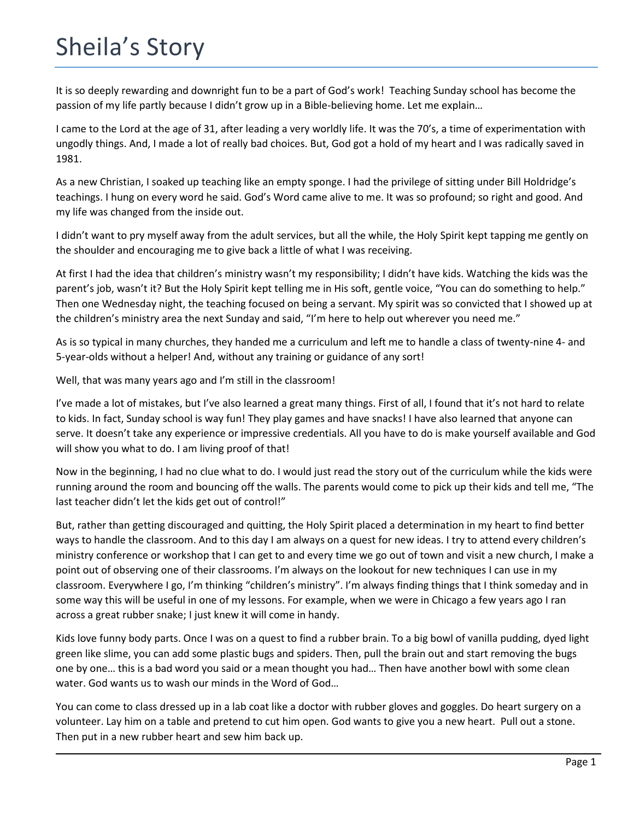## Sheila's Story

It is so deeply rewarding and downright fun to be a part of God's work! Teaching Sunday school has become the passion of my life partly because I didn't grow up in a Bible-believing home. Let me explain…

I came to the Lord at the age of 31, after leading a very worldly life. It was the 70's, a time of experimentation with ungodly things. And, I made a lot of really bad choices. But, God got a hold of my heart and I was radically saved in 1981.

As a new Christian, I soaked up teaching like an empty sponge. I had the privilege of sitting under Bill Holdridge's teachings. I hung on every word he said. God's Word came alive to me. It was so profound; so right and good. And my life was changed from the inside out.

I didn't want to pry myself away from the adult services, but all the while, the Holy Spirit kept tapping me gently on the shoulder and encouraging me to give back a little of what I was receiving.

At first I had the idea that children's ministry wasn't my responsibility; I didn't have kids. Watching the kids was the parent's job, wasn't it? But the Holy Spirit kept telling me in His soft, gentle voice, "You can do something to help." Then one Wednesday night, the teaching focused on being a servant. My spirit was so convicted that I showed up at the children's ministry area the next Sunday and said, "I'm here to help out wherever you need me."

As is so typical in many churches, they handed me a curriculum and left me to handle a class of twenty-nine 4- and 5-year-olds without a helper! And, without any training or guidance of any sort!

Well, that was many years ago and I'm still in the classroom!

I've made a lot of mistakes, but I've also learned a great many things. First of all, I found that it's not hard to relate to kids. In fact, Sunday school is way fun! They play games and have snacks! I have also learned that anyone can serve. It doesn't take any experience or impressive credentials. All you have to do is make yourself available and God will show you what to do. I am living proof of that!

Now in the beginning, I had no clue what to do. I would just read the story out of the curriculum while the kids were running around the room and bouncing off the walls. The parents would come to pick up their kids and tell me, "The last teacher didn't let the kids get out of control!"

But, rather than getting discouraged and quitting, the Holy Spirit placed a determination in my heart to find better ways to handle the classroom. And to this day I am always on a quest for new ideas. I try to attend every children's ministry conference or workshop that I can get to and every time we go out of town and visit a new church, I make a point out of observing one of their classrooms. I'm always on the lookout for new techniques I can use in my classroom. Everywhere I go, I'm thinking "children's ministry". I'm always finding things that I think someday and in some way this will be useful in one of my lessons. For example, when we were in Chicago a few years ago I ran across a great rubber snake; I just knew it will come in handy.

Kids love funny body parts. Once I was on a quest to find a rubber brain. To a big bowl of vanilla pudding, dyed light green like slime, you can add some plastic bugs and spiders. Then, pull the brain out and start removing the bugs one by one… this is a bad word you said or a mean thought you had… Then have another bowl with some clean water. God wants us to wash our minds in the Word of God…

You can come to class dressed up in a lab coat like a doctor with rubber gloves and goggles. Do heart surgery on a volunteer. Lay him on a table and pretend to cut him open. God wants to give you a new heart. Pull out a stone. Then put in a new rubber heart and sew him back up.